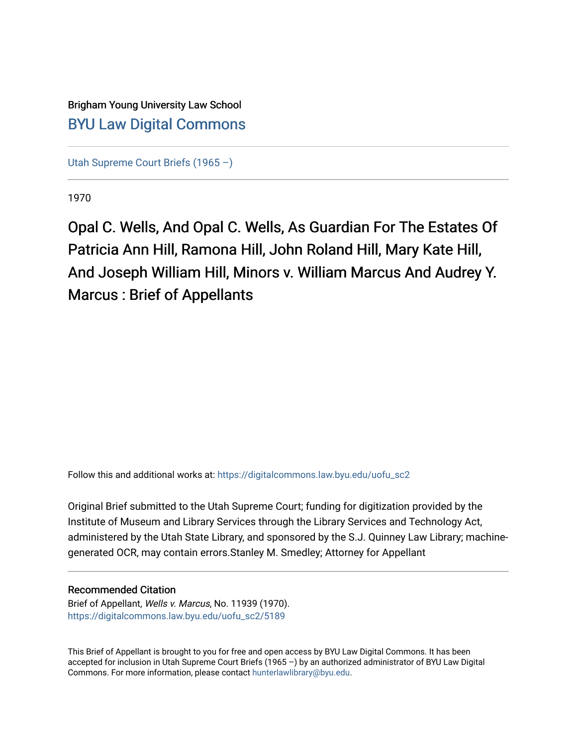## Brigham Young University Law School [BYU Law Digital Commons](https://digitalcommons.law.byu.edu/)

[Utah Supreme Court Briefs \(1965 –\)](https://digitalcommons.law.byu.edu/uofu_sc2)

1970

Opal C. Wells, And Opal C. Wells, As Guardian For The Estates Of Patricia Ann Hill, Ramona Hill, John Roland Hill, Mary Kate Hill, And Joseph William Hill, Minors v. William Marcus And Audrey Y. Marcus : Brief of Appellants

Follow this and additional works at: [https://digitalcommons.law.byu.edu/uofu\\_sc2](https://digitalcommons.law.byu.edu/uofu_sc2?utm_source=digitalcommons.law.byu.edu%2Fuofu_sc2%2F5189&utm_medium=PDF&utm_campaign=PDFCoverPages)

Original Brief submitted to the Utah Supreme Court; funding for digitization provided by the Institute of Museum and Library Services through the Library Services and Technology Act, administered by the Utah State Library, and sponsored by the S.J. Quinney Law Library; machinegenerated OCR, may contain errors.Stanley M. Smedley; Attorney for Appellant

## Recommended Citation

Brief of Appellant, Wells v. Marcus, No. 11939 (1970). [https://digitalcommons.law.byu.edu/uofu\\_sc2/5189](https://digitalcommons.law.byu.edu/uofu_sc2/5189?utm_source=digitalcommons.law.byu.edu%2Fuofu_sc2%2F5189&utm_medium=PDF&utm_campaign=PDFCoverPages) 

This Brief of Appellant is brought to you for free and open access by BYU Law Digital Commons. It has been accepted for inclusion in Utah Supreme Court Briefs (1965 –) by an authorized administrator of BYU Law Digital Commons. For more information, please contact [hunterlawlibrary@byu.edu](mailto:hunterlawlibrary@byu.edu).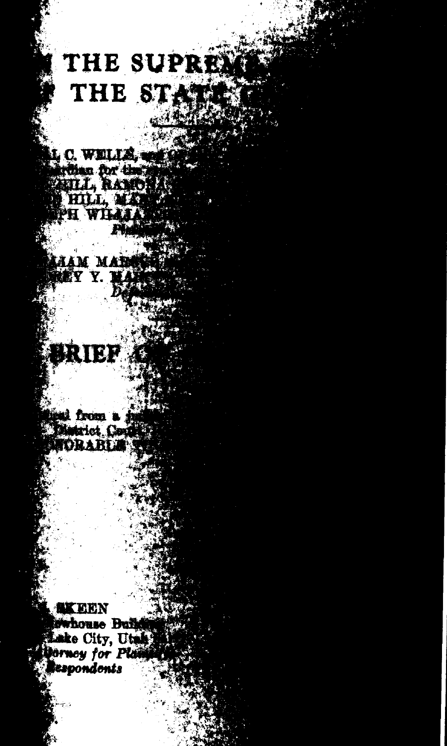## THE SUPREM THE STAT

L C. WELLS, WES The for the set PH WHAA

**HAM MARKET LEY Y.** 

RIEF

beal from a rive<br>Matrict Could **NORABLE** 

**AXEEN** bwhouse Builds Lake City, Utah **Dorney for Pla Sespondents**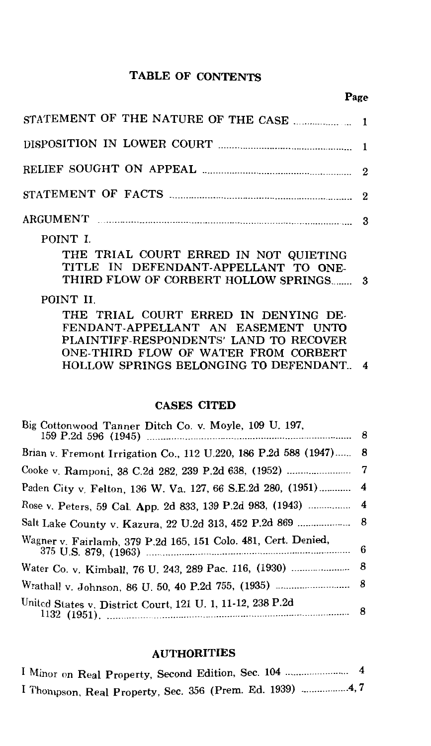#### TABLE OF CONTENTS

#### Page

| DISPOSITION IN LOWER COURT <b>Example 2016</b> 1                                                                                   |  |
|------------------------------------------------------------------------------------------------------------------------------------|--|
|                                                                                                                                    |  |
|                                                                                                                                    |  |
|                                                                                                                                    |  |
| POINT I.<br>THE TRIAL COURT ERRED IN NOT QUIETING<br>TITLE IN DEFENDANT-APPELLANT TO ONE-<br>THIRD FLOW OF CORBERT HOLLOW SPRINGS3 |  |
|                                                                                                                                    |  |

#### POINT IL

THE TRIAL COURT ERRED IN DENYING DE-FENDANT-APPELLANT AN EASEMENT UNTO PLAINTIFF-RESPONDENTS' LAND TO RECOVER ONE-THIRD FLOW OF WATER FROM CORBERT HOLLOW SPRINGS BELONGING TO DEFENDANT.. 4

### CASES CITED

| Big Cottonwood Tanner Ditch Co. v. Moyle, 109 U. 197,                                                       |  |
|-------------------------------------------------------------------------------------------------------------|--|
| Brian v. Fremont Irrigation Co., 112 U.220, 186 P.2d 588 (1947) 8                                           |  |
|                                                                                                             |  |
| Paden City v. Felton, 136 W. Va. 127, 66 S.E.2d 280, (1951) 4                                               |  |
| Rose v. Peters, 59 Cal. App. 2d 833, 139 P.2d 983, (1943)  4                                                |  |
|                                                                                                             |  |
| Wagner v. Fairlamb, 379 P.2d 165, 151 Colo. 481, Cert. Denied,<br>375 U.S. 879, (1963) 375 U.S. 879, (1963) |  |
|                                                                                                             |  |
|                                                                                                             |  |
| United States v. District Court, 121 U. 1, 11-12, 238 P.2d<br>$1132$ (1951).                                |  |

#### AUTHORITIES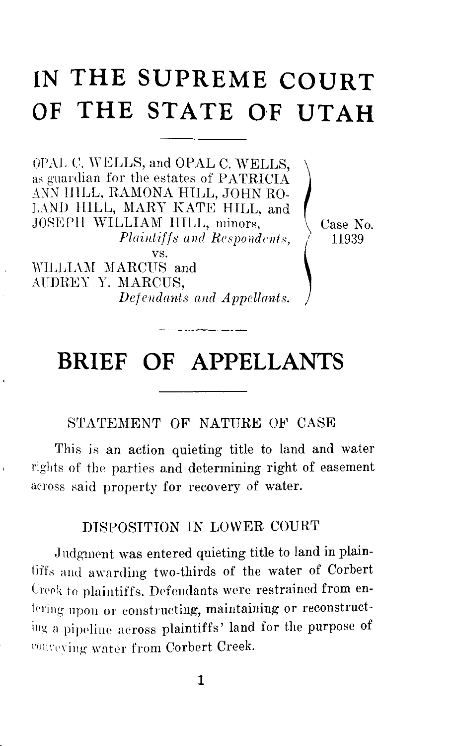# **IN THE SUPREME COURT**

**OF THE STATE OF UTAH**<br>
OPAL C. WELLS, and OPAL C. WELLS,<br>as guardian for the estates of PATRICIA<br>
ANY ULLE RAMONA HU L. JOHN BO as guardian for the estates of PATRICIA ANN lllLL, RAMONA HILL, JOHN RO-LAND HILL, MARY KATE HILL, and JOSEPH WILLIAM HILL, minors, *Plaintiffs and Respondents,* 

vs. WILLIAM MARCUS and AUDREY Y. MARCUS, *Defendants and Appellants.*  Case No. 11939

## **BRIEF OF APPELLANTS**

STATEMENT OF NATURE OF CASE

This is an action quieting title to land and water rights of the parties and determining right of easement aeross said property for recovery of water.

## DISPOSITION IN LOWER COURT

Judgment was entered quieting title to land in plaintiffs aud awarding two-thirds of the water of Corbert Creek to plaintiffs. Defendants were restrained from entering upon or constructing, maintaining or reconstructing a pipeline across plaintiffs' land for the purpose of convering water from Corbert Creek.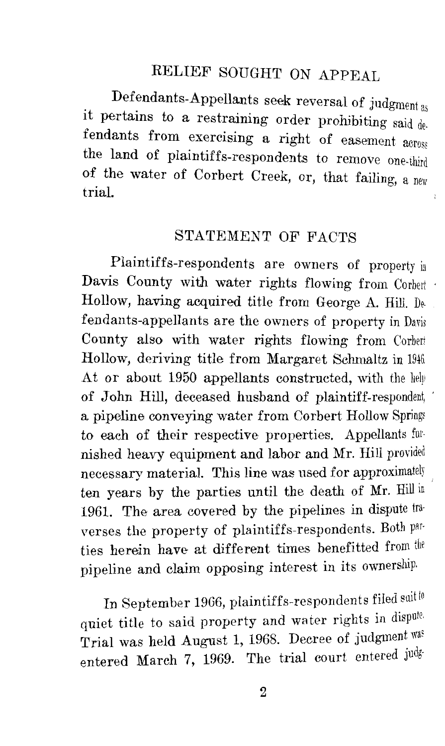## RELIEF SOUGHT ON APPEAL

Defendants-Appellants seek reversal of judgment as it pertains to a restraining order prohibiting said  $de$ . fendants from exercising a right of easement  $\arccos$ the land of plaintiffs-respondents to remove one-third of the water of Corbert Creek, or, that failing, a new trial.

## STATEMENT OF FACTS

Plaintiffs-respondents are owners of property in Davis County with water rights flowing from Corbert Hollow, having acquired title from George A. Hill. Defendants-appellants are the owners of property in Davis County also with water rights flowing from Corbert Hollow, deriving title from Margaret Schmaltz in 1946. At or about 1950 appellants constructed, with the help of John Hill, deceased husband of plaintiff-respondent, a pipeline conveying water from Corbert Hollow Springs to each of their respective properties. Appellants furnished heavy equipment and labor and Mr. Hill provided necessary material. This line was used for approximately ten years by the parties until the death of Mr. Hill in 1961. The area covered by the pipelines in dispute traverses the property of plaintiffs-respondents. Both parties herein have at different times benefitted from the pipeline and claim opposing interest in its ownership.

In September 1966, plaintiffs-respondents filed suit to quiet title to said property and water rights in dispute. Trial was held August 1, 1968. Decree of judgment was entered March 7, 1969. The trial court entered judg-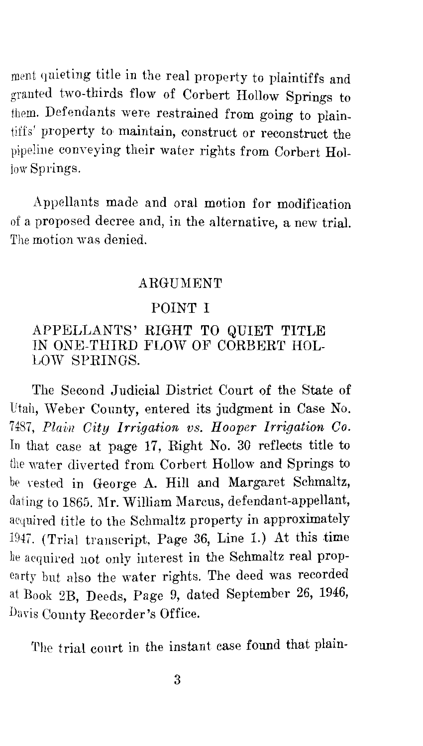ment quieting title in the real property to plaintiffs and granted two-thirds flow of Corbert Hollow Springs to them. Defendants were restrained from going to plaintiffs' property to maintain, construct or reconstruct the pipeline conveying their water rights from Corbert Hollow Springs.

Appellants made and oral motion for modification of a proposed decree and, in the alternative, a new trial. The motion was denied.

## ARGUMENT

## POINT I

## APPELLANTS' RIGHT TO QUIET TITLE IN ONE-THIRD FLOW OF CORBERT HOL-LOW SPRINGS.

The Second Judicial District Court of the State of Utah, Weber County, entered its judgment in Case No. 7487, *Plain City Irrigation vs. Hooper Irrigation Co.* In that case at page 17, Right No. 30 reflects title to the water diverted from Corbert Hollow and Springs to be vested in George A. Hill and Margaret Schmaltz, dating to 1865. Mr. William Marcus, defendant-appellant, acquired title to the Schmaltz property in approximately 1947. (Trial transcript, Page 36, Line 1.) At this time he acquired not only interest in the Schmaltz real propearty but also the water rights. The deed was recorded at Book 2B, Deeds, Page 9, dated September 26, 1946, Dayis County Recorder's Office.

The trial conrt in the instant case found that plain-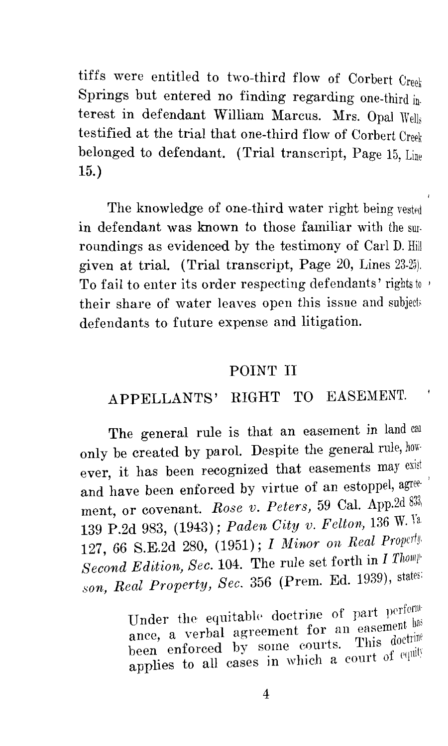tiffs were entitled to two-third flow of Corbert Creek Springs but entered no finding regarding one-third interest in defendant William Marcus. Mrs. Opal Wells testified at the trial that one-third flow of Corbert Creek belonged to defendant. (Trial transcript, Page 15, Line 15.)

The knowledge of one-third water right being vested in defendant was known to those familiar with the smroundings as evidenced by the testimony of Carl D. Hill given at trial. (Trial transcript, Page 20, Lines 23-25). To fail to enter its order respecting defendants' rights to ' their share of water leaves open this issue and subjects defendants to future expense and litigation.

## POINT II

## APPELLANTS' RIGHT TO EASEMENT.

The general rule is that an easement in land can only be created by parol. Despite the general rule, how ever, it has been recognized that easements may exist and have been enforced by virtue of an estoppel, agreement, or covenant. *Rose v. Peters,* 59 Cal. App.2d 139 P.2d 983, (1943); *Paden City v. Felton*, 136 W. Va. 127, 66 S.E.2d 280, (1951); *I Minor on Real Property Second Edition, Sec.* 104. The rule set forth in *I Thom/' son, Real Property, Sec.* 356 (Prem. Ed. 1939), states:

> Under the equitable doctrine of part perform ance, a verbal agreement for an easement had been enforced by some courts. This doctrine applies to all cases in which a court of equit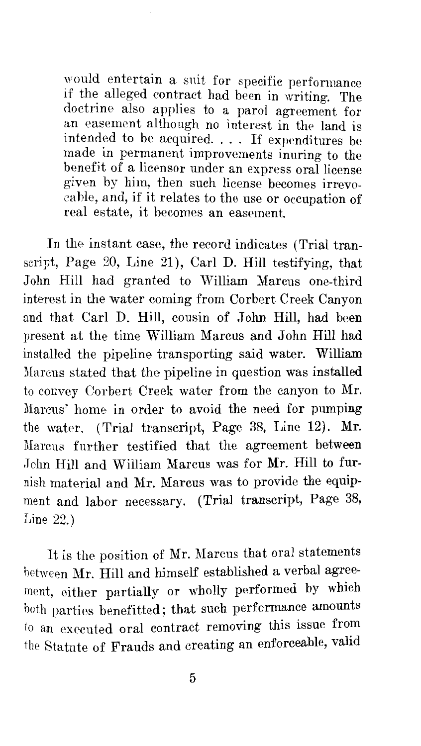would entertain a suit for specific performance if the alleged contract had been in writing. The doctrine also applies to a parol agreement for an easement although no interest in the land is intended to be acquired. . . . If expenditures be made in permanent improvements inuring to the benefit of a licensor under an express oral license given by him, then such license becomes irrevocable, and, if it relates to the use or occupation of real estate, it becomes an easement.

In the instant case, the record indicates (Trial transcript, Page 20, Line 21), Carl D. Hill testifying, that John Hill had granted to William Marcus one-third interest in the water coming from Corbert Creek Canyon and that Carl D. Hill, cousin of John Hill, had been present at the time William Marcus and John Hill had installed the pipeline transporting said water. William Marcus stated that the pipeline in question was installed to convey Corbert Creek water from the canyon to Mr. :Marcus' home in order to avoid the need for pumping the water. (Trial transcript, Page 38, Line 12). Mr. Marcus further testified that the agreement between John Hill and William Marcus was for Mr. Hill to furnish material and Mr. Marcus was to provide the equipment and labor necessary. (Trial transcript, Page 38, Line 22.)

It is the position of Mr. Marcus that oral statements hetween Mr. Hill and himself established a verbal agreement, either partially or wholly performed by which hoth parties benefitted; that such performance amounts to an executed oral contract removing this issue from the Statute of Frauds and creating an enforceable, valid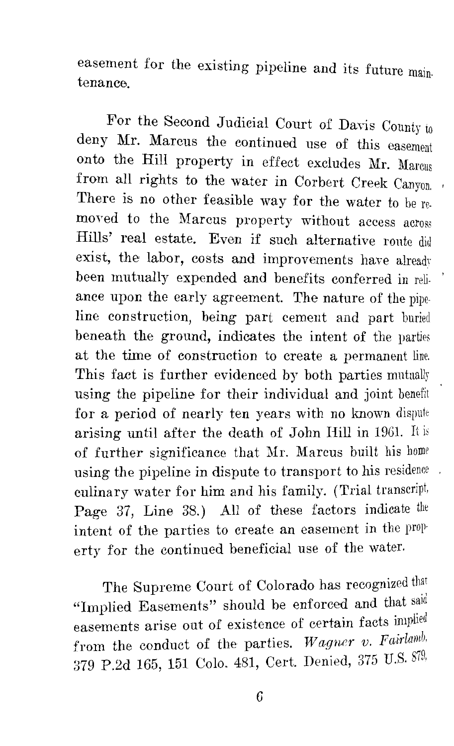easement for the existing pipeline and its future maintenance.

For the Second Judicial Court of Davis County to deny Mr. Marcus the continued use of this easement onto the Hill property in effect excludes Mr. Marcus from all rights to the water in Corbert Creek Canyon. There is no other feasible way for the water to be removed to the Marcus property without access across Hills' real estate. Even if such alternative route did exist, the labor, costs and improvements have already been mutually expended and benefits conferred in reliance upon the early agreement. The nature of the pipeline construction, being part cement and part buried beneath the ground, indicates the intent of the varties at the time of construction to create a permanent line. This fact is further evidenced by both parties mutually using the pipeline for their individual and joint benefit for a period of nearly ten years with no known dispute arising until after the death of John Hill in 1961. It is of further significance that Mr. Marcus built his home using the pipeline in dispute to transport to his residence. culinary water for him and his family. (Trial transcript, Page 37, Line 38.) All of these factors indicate the intent of the parties to create an easement in the property for the continued beneficial use of the water.

The Supreme Court of Colorado has recognized that "Implied Easements" should be enforced and that said easements arise out of existence of certain facts implied from the conduct of the parties. *Wagner v. Fairlamb.* 379 P.2d 165, 151 Colo. 481, Cert. Denied, 375 U.S. g7g,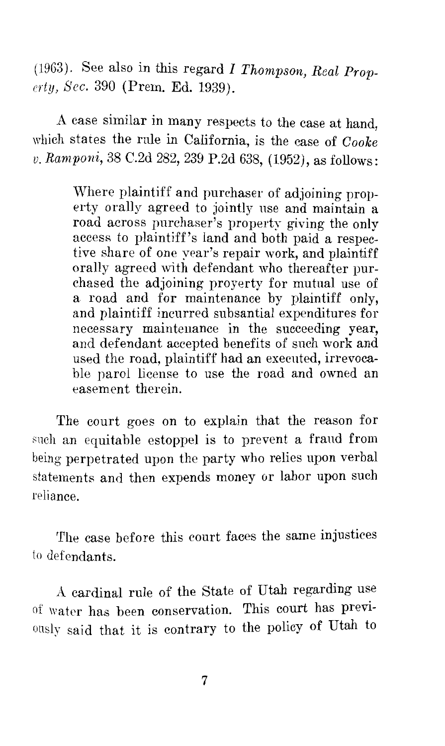( 1963). See also in this regard *I Thompson, Real Property, Sec.* 390 (Prem. Ed. 1939).

A case similar in many respects to the case at hand, which states the rule in California, is the case of *Cooke v. Rarnponi,* 38 C.2d 282, 239 P.2d 638, (1952), as follows:

> Where plaintiff and purchaser of adjoining property orally agreed to jointly use and maintain a road across purchaser's property giving the only access to plaintiff's land and both paid a respective share of one year's repair work, and plaintiff orally agreed with defendant who thereafter purchased the adjoining proyerty for mutual use of a road and for maintenance by plaintiff only, and plaintiff incurred subsantial expenditures for necessary maintenance in the succeeding year, and defendant accepted benefits of such work and used the road, plaintiff had an executed, irrevocable parol license to use the road and owned an easement therein.

The court goes on to explain that the reason for such an equitable estoppel is to prevent a fraud from being perpetrated upon the party who relies upon verbal statements and then expends money or labor upon such reliance.

The case before this court faces the same injustices to defendants.

A cardinal rule of the State of Utah regarding use of water has been conservation. This court has previously said that it is contrary to the policy of Utah to